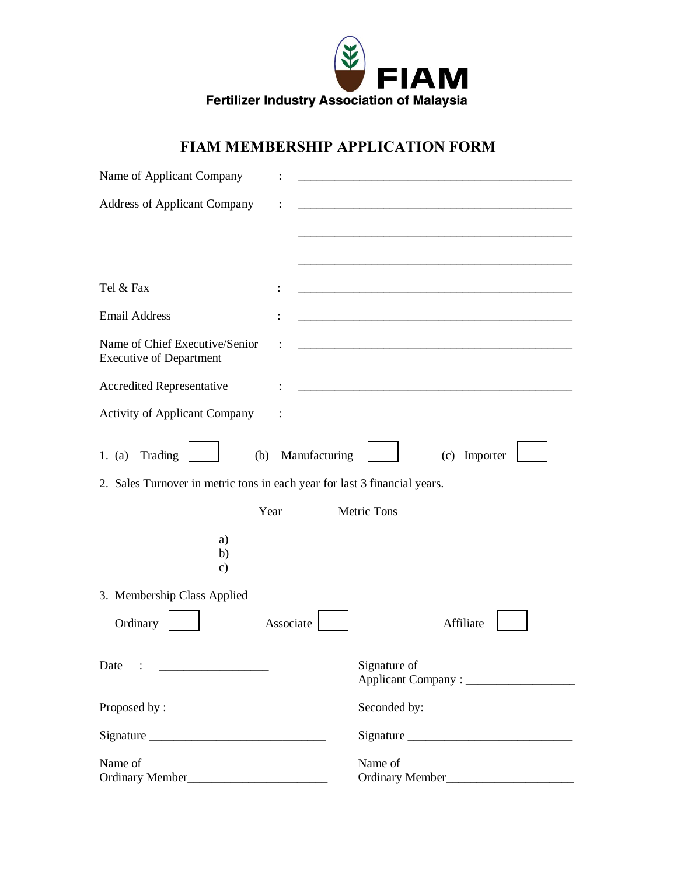

## **FIAM MEMBERSHIP APPLICATION FORM**

| Name of Applicant Company                                                                                                      |               |                                                                                                                       |  |  |
|--------------------------------------------------------------------------------------------------------------------------------|---------------|-----------------------------------------------------------------------------------------------------------------------|--|--|
| <b>Address of Applicant Company</b>                                                                                            |               |                                                                                                                       |  |  |
|                                                                                                                                |               |                                                                                                                       |  |  |
|                                                                                                                                |               |                                                                                                                       |  |  |
| Tel & Fax                                                                                                                      |               | <u> 1980 - Johann Barbara, margaret eta biztanleria (h. 1980).</u>                                                    |  |  |
| <b>Email Address</b>                                                                                                           |               | <u> 1989 - Johann Harry Harry Harry Harry Harry Harry Harry Harry Harry Harry Harry Harry Harry Harry Harry Harry</u> |  |  |
| Name of Chief Executive/Senior<br><b>Executive of Department</b>                                                               |               |                                                                                                                       |  |  |
| Accredited Representative                                                                                                      |               |                                                                                                                       |  |  |
| <b>Activity of Applicant Company</b>                                                                                           |               |                                                                                                                       |  |  |
| Trading<br>1. (a)<br>(b)                                                                                                       | Manufacturing | (c) Importer                                                                                                          |  |  |
| 2. Sales Turnover in metric tons in each year for last 3 financial years.                                                      |               |                                                                                                                       |  |  |
| Year                                                                                                                           |               | <b>Metric Tons</b>                                                                                                    |  |  |
| a)<br>b)<br>$\mathbf{c})$                                                                                                      |               |                                                                                                                       |  |  |
| 3. Membership Class Applied                                                                                                    |               |                                                                                                                       |  |  |
| Ordinary                                                                                                                       | Associate     | Affiliate                                                                                                             |  |  |
| Date<br><u> 1980 - Antonio Alemania, prima prestava prestava prestava prestava prestava prestava prestava prestava prestav</u> |               | Signature of                                                                                                          |  |  |
| Proposed by:                                                                                                                   |               | Seconded by:                                                                                                          |  |  |
|                                                                                                                                |               |                                                                                                                       |  |  |
| Name of                                                                                                                        |               | Name of                                                                                                               |  |  |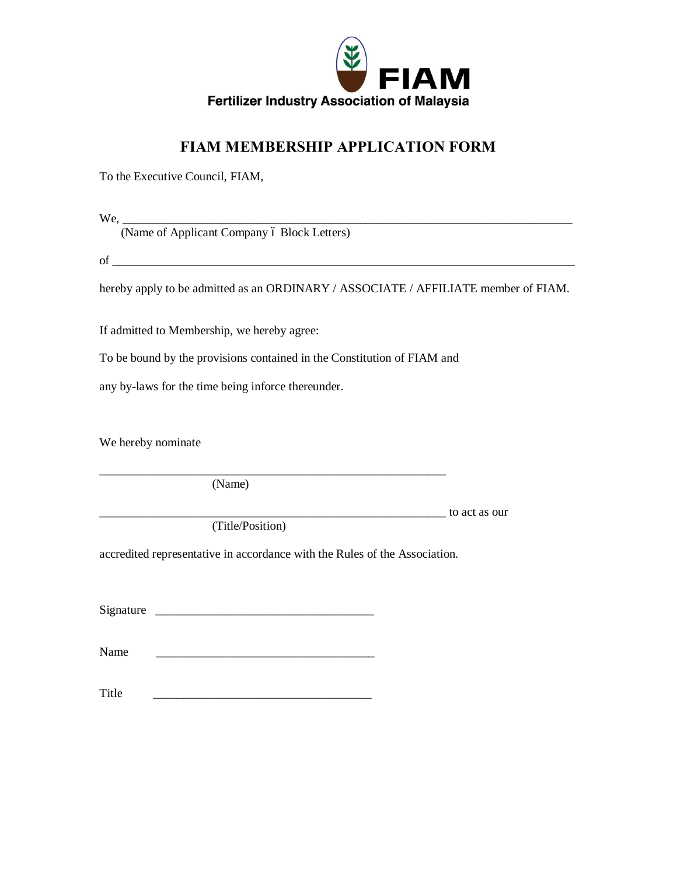

## **FIAM MEMBERSHIP APPLICATION FORM**

To the Executive Council, FIAM,

We,

(Name of Applicant Company ó Block Letters)

 $\rm{of}$   $\frac{1}{\sqrt{2}}$ 

hereby apply to be admitted as an ORDINARY / ASSOCIATE / AFFILIATE member of FIAM.

If admitted to Membership, we hereby agree:

To be bound by the provisions contained in the Constitution of FIAM and

any by-laws for the time being inforce thereunder.

We hereby nominate

(Name)

 $\frac{1}{\sqrt{2\pi}}$  to act as our

(Title/Position)

accredited representative in accordance with the Rules of the Association.

\_\_\_\_\_\_\_\_\_\_\_\_\_\_\_\_\_\_\_\_\_\_\_\_\_\_\_\_\_\_\_\_\_\_\_\_\_\_\_\_\_\_\_\_\_\_\_\_\_\_\_\_\_\_\_\_\_

Signature \_\_\_\_\_\_\_\_\_\_\_\_\_\_\_\_\_\_\_\_\_\_\_\_\_\_\_\_\_\_\_\_\_\_\_\_

Name

Title  $\Box$